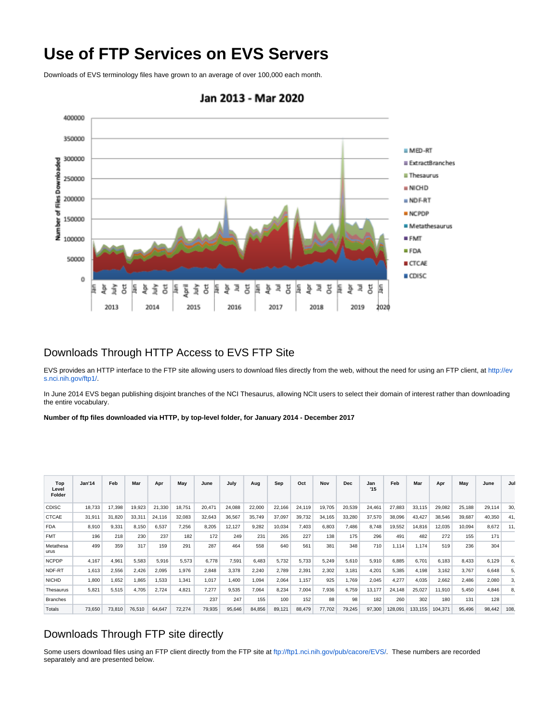# **Use of FTP Services on EVS Servers**

Downloads of EVS terminology files have grown to an average of over 100,000 each month.



#### Jan 2013 - Mar 2020

## Downloads Through HTTP Access to EVS FTP Site

EVS provides an HTTP interface to the FTP site allowing users to download files directly from the web, without the need for using an FTP client, at [http://ev](http://evs.nci.nih.gov/ftp1/) [s.nci.nih.gov/ftp1/](http://evs.nci.nih.gov/ftp1/).

In June 2014 EVS began publishing disjoint branches of the NCI Thesaurus, allowing NCIt users to select their domain of interest rather than downloading the entire vocabulary.

**Number of ftp files downloaded via HTTP, by top-level folder, for January 2014 - December 2017**

| Top<br>Level<br>Folder | Jan'14 | Feb    | Mar    | Apr    | May    | June   | July   | Aug    | Sep    | Oct    | Nov    | <b>Dec</b> | Jan<br>115 | Feb     | Mar     | Apr     | Mav    | June   | Jul  |
|------------------------|--------|--------|--------|--------|--------|--------|--------|--------|--------|--------|--------|------------|------------|---------|---------|---------|--------|--------|------|
| <b>CDISC</b>           | 18,733 | 17,398 | 19,923 | 21,330 | 18,751 | 20,471 | 24,088 | 22,000 | 22,166 | 24,119 | 19,705 | 20,539     | 24,461     | 27,883  | 33,115  | 29,082  | 25,188 | 29,114 | 30,  |
| <b>CTCAE</b>           | 31,911 | 31,820 | 33,311 | 24,116 | 32,083 | 32,643 | 36,567 | 35,749 | 37,097 | 39,732 | 34,165 | 33,280     | 37,570     | 38,096  | 43,427  | 38,546  | 39,687 | 40,350 | 41.  |
| <b>FDA</b>             | 8,910  | 9,331  | 8,150  | 6,537  | 7,256  | 8,205  | 12,127 | 9,282  | 10,034 | 7.403  | 6,803  | 7,486      | 8,748      | 19,552  | 14,816  | 12,035  | 10,094 | 8,672  | 11,  |
| <b>FMT</b>             | 196    | 218    | 230    | 237    | 182    | 172    | 249    | 231    | 265    | 227    | 138    | 175        | 296        | 491     | 482     | 272     | 155    | 171    |      |
| Metathesa<br>urus      | 499    | 359    | 317    | 159    | 291    | 287    | 464    | 558    | 640    | 561    | 381    | 348        | 710        | 1.114   | 1.174   | 519     | 236    | 304    |      |
| <b>NCPDP</b>           | 4,167  | 4,961  | 5,583  | 5,916  | 5,573  | 6.778  | 7,591  | 6,483  | 5,732  | 5,733  | 5,249  | 5,610      | 5,910      | 6,885   | 6.701   | 6,183   | 8,433  | 6,129  | 6,   |
| NDF-RT                 | 1,613  | 2,556  | 2,426  | 2,095  | 1,976  | 2,848  | 3,378  | 2,240  | 2,789  | 2,391  | 2,302  | 3,181      | 4,201      | 5,385   | 4.198   | 3,162   | 3.767  | 6,648  | 5.   |
| <b>NICHD</b>           | 1,800  | 1,652  | 1.865  | 1.533  | 1,341  | 1.017  | 1.400  | 1,094  | 2,064  | 1,157  | 925    | 1.769      | 2,045      | 4,277   | 4,035   | 2,662   | 2,486  | 2,080  | 3.   |
| Thesaurus              | 5,821  | 5,515  | 4.705  | 2,724  | 4,821  | 7,277  | 9,535  | 7,064  | 8,234  | 7,004  | 7,936  | 6,759      | 13,177     | 24,148  | 25,027  | 11,910  | 5,450  | 4,846  | 8,   |
| <b>Branches</b>        |        |        |        |        |        | 237    | 247    | 155    | 100    | 152    | 88     | 98         | 182        | 260     | 302     | 180     | 131    | 128    |      |
| Totals                 | 73,650 | 73,810 | 76,510 | 64,647 | 72,274 | 79,935 | 95,646 | 84,856 | 89,121 | 88.479 | 77,702 | 79,245     | 97,300     | 128,091 | 133.155 | 104.371 | 95,496 | 98,442 | 108. |

## Downloads Through FTP site directly

Some users download files using an FTP client directly from the FTP site at <ftp://ftp1.nci.nih.gov/pub/cacore/EVS/>. These numbers are recorded separately and are presented below.